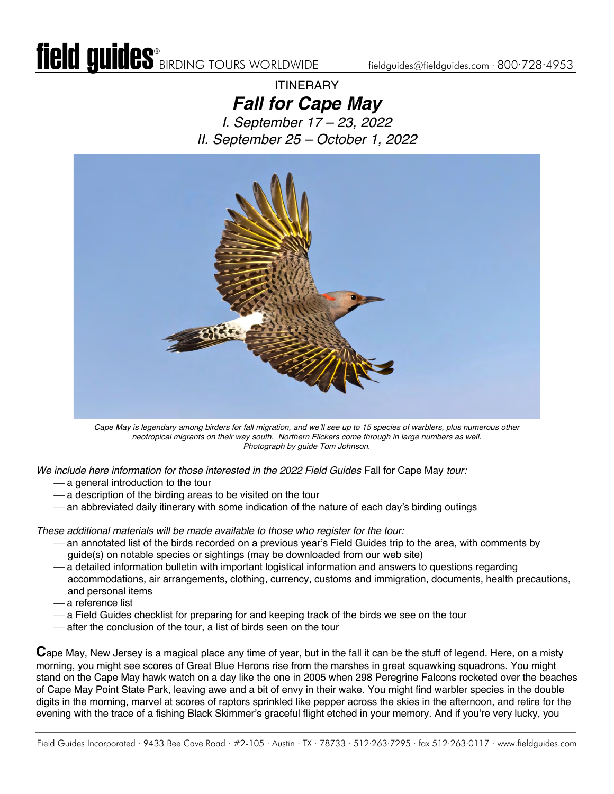## **ITINERARY** *Fall for Cape May*

*I. September 17 – 23, 2022 II. September 25 – October 1, 2022*



*Cape May is legendary among birders for fall migration, and we'll see up to 15 species of warblers, plus numerous other neotropical migrants on their way south. Northern Flickers come through in large numbers as well. Photograph by guide Tom Johnson.*

*We include here information for those interested in the 2022 Field Guides* Fall for Cape May *tour:*

- ¾ a general introduction to the tour
- $-$  a description of the birding areas to be visited on the tour
- an abbreviated daily itinerary with some indication of the nature of each day's birding outings

*These additional materials will be made available to those who register for the tour:*

- ¾ an annotated list of the birds recorded on a previous year's Field Guides trip to the area, with comments by guide(s) on notable species or sightings (may be downloaded from our web site)
- ¾ a detailed information bulletin with important logistical information and answers to questions regarding accommodations, air arrangements, clothing, currency, customs and immigration, documents, health precautions, and personal items
- ¾ a reference list
- a Field Guides checklist for preparing for and keeping track of the birds we see on the tour
- ¾ after the conclusion of the tour, a list of birds seen on the tour

**C**ape May, New Jersey is a magical place any time of year, but in the fall it can be the stuff of legend. Here, on a misty morning, you might see scores of Great Blue Herons rise from the marshes in great squawking squadrons. You might stand on the Cape May hawk watch on a day like the one in 2005 when 298 Peregrine Falcons rocketed over the beaches of Cape May Point State Park, leaving awe and a bit of envy in their wake. You might find warbler species in the double digits in the morning, marvel at scores of raptors sprinkled like pepper across the skies in the afternoon, and retire for the evening with the trace of a fishing Black Skimmer's graceful flight etched in your memory. And if you're very lucky, you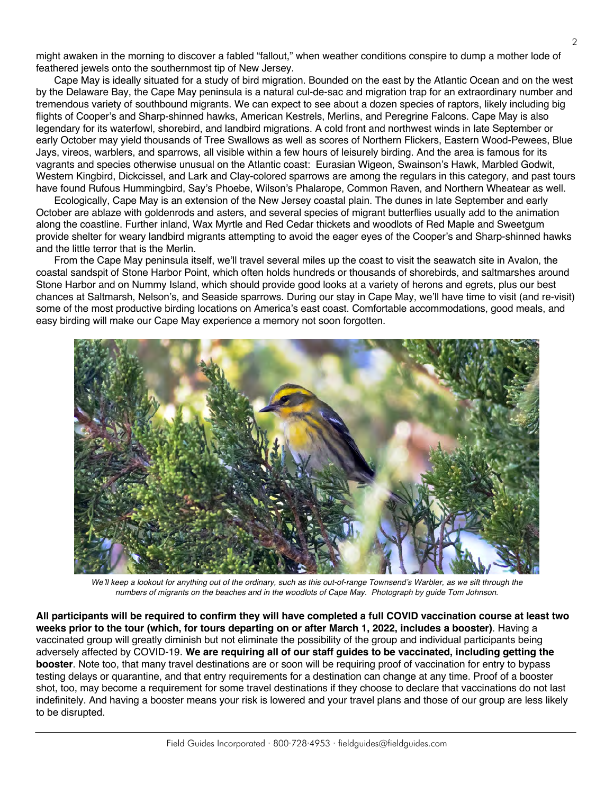might awaken in the morning to discover a fabled "fallout," when weather conditions conspire to dump a mother lode of feathered jewels onto the southernmost tip of New Jersey.

Cape May is ideally situated for a study of bird migration. Bounded on the east by the Atlantic Ocean and on the west by the Delaware Bay, the Cape May peninsula is a natural cul-de-sac and migration trap for an extraordinary number and tremendous variety of southbound migrants. We can expect to see about a dozen species of raptors, likely including big flights of Cooper's and Sharp-shinned hawks, American Kestrels, Merlins, and Peregrine Falcons. Cape May is also legendary for its waterfowl, shorebird, and landbird migrations. A cold front and northwest winds in late September or early October may yield thousands of Tree Swallows as well as scores of Northern Flickers, Eastern Wood-Pewees, Blue Jays, vireos, warblers, and sparrows, all visible within a few hours of leisurely birding. And the area is famous for its vagrants and species otherwise unusual on the Atlantic coast: Eurasian Wigeon, Swainson's Hawk, Marbled Godwit, Western Kingbird, Dickcissel, and Lark and Clay-colored sparrows are among the regulars in this category, and past tours have found Rufous Hummingbird, Say's Phoebe, Wilson's Phalarope, Common Raven, and Northern Wheatear as well.

Ecologically, Cape May is an extension of the New Jersey coastal plain. The dunes in late September and early October are ablaze with goldenrods and asters, and several species of migrant butterflies usually add to the animation along the coastline. Further inland, Wax Myrtle and Red Cedar thickets and woodlots of Red Maple and Sweetgum provide shelter for weary landbird migrants attempting to avoid the eager eyes of the Cooper's and Sharp-shinned hawks and the little terror that is the Merlin.

From the Cape May peninsula itself, we'll travel several miles up the coast to visit the seawatch site in Avalon, the coastal sandspit of Stone Harbor Point, which often holds hundreds or thousands of shorebirds, and saltmarshes around Stone Harbor and on Nummy Island, which should provide good looks at a variety of herons and egrets, plus our best chances at Saltmarsh, Nelson's, and Seaside sparrows. During our stay in Cape May, we'll have time to visit (and re-visit) some of the most productive birding locations on America's east coast. Comfortable accommodations, good meals, and easy birding will make our Cape May experience a memory not soon forgotten.



*We'll keep a lookout for anything out of the ordinary, such as this out-of-range Townsend's Warbler, as we sift through the numbers of migrants on the beaches and in the woodlots of Cape May. Photograph by guide Tom Johnson.*

**All participants will be required to confirm they will have completed a full COVID vaccination course at least two weeks prior to the tour (which, for tours departing on or after March 1, 2022, includes a booster)**. Having a vaccinated group will greatly diminish but not eliminate the possibility of the group and individual participants being adversely affected by COVID-19. **We are requiring all of our staff guides to be vaccinated, including getting the booster**. Note too, that many travel destinations are or soon will be requiring proof of vaccination for entry to bypass testing delays or quarantine, and that entry requirements for a destination can change at any time. Proof of a booster shot, too, may become a requirement for some travel destinations if they choose to declare that vaccinations do not last indefinitely. And having a booster means your risk is lowered and your travel plans and those of our group are less likely to be disrupted.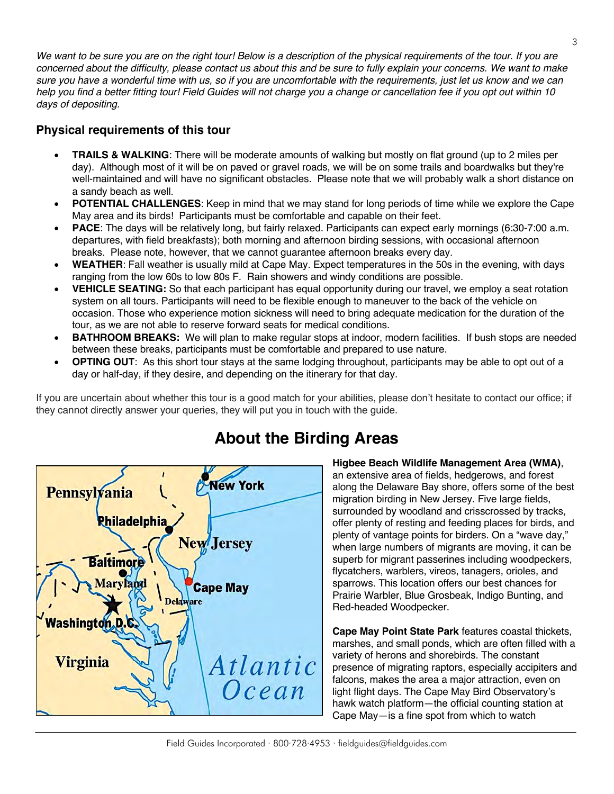We want to be sure you are on the right tour! Below is a description of the physical requirements of the tour. If you are *concerned about the difficulty, please contact us about this and be sure to fully explain your concerns. We want to make sure you have a wonderful time with us, so if you are uncomfortable with the requirements, just let us know and we can help you find a better fitting tour! Field Guides will not charge you a change or cancellation fee if you opt out within 10 days of depositing.*

#### **Physical requirements of this tour**

- **TRAILS & WALKING**: There will be moderate amounts of walking but mostly on flat ground (up to 2 miles per day). Although most of it will be on paved or gravel roads, we will be on some trails and boardwalks but they're well-maintained and will have no significant obstacles. Please note that we will probably walk a short distance on a sandy beach as well.
- **POTENTIAL CHALLENGES**: Keep in mind that we may stand for long periods of time while we explore the Cape May area and its birds! Participants must be comfortable and capable on their feet.
- **PACE**: The days will be relatively long, but fairly relaxed. Participants can expect early mornings (6:30-7:00 a.m. departures, with field breakfasts); both morning and afternoon birding sessions, with occasional afternoon breaks. Please note, however, that we cannot guarantee afternoon breaks every day.
- **WEATHER**: Fall weather is usually mild at Cape May. Expect temperatures in the 50s in the evening, with days ranging from the low 60s to low 80s F. Rain showers and windy conditions are possible.
- **VEHICLE SEATING:** So that each participant has equal opportunity during our travel, we employ a seat rotation system on all tours. Participants will need to be flexible enough to maneuver to the back of the vehicle on occasion. Those who experience motion sickness will need to bring adequate medication for the duration of the tour, as we are not able to reserve forward seats for medical conditions.
- **BATHROOM BREAKS:** We will plan to make regular stops at indoor, modern facilities. If bush stops are needed between these breaks, participants must be comfortable and prepared to use nature.
- **OPTING OUT:** As this short tour stays at the same lodging throughout, participants may be able to opt out of a day or half-day, if they desire, and depending on the itinerary for that day.

If you are uncertain about whether this tour is a good match for your abilities, please don't hesitate to contact our office; if they cannot directly answer your queries, they will put you in touch with the guide.



# **About the Birding Areas**

#### **Higbee Beach Wildlife Management Area (WMA)**,

an extensive area of fields, hedgerows, and forest along the Delaware Bay shore, offers some of the best migration birding in New Jersey. Five large fields, surrounded by woodland and crisscrossed by tracks, offer plenty of resting and feeding places for birds, and plenty of vantage points for birders. On a "wave day," when large numbers of migrants are moving, it can be superb for migrant passerines including woodpeckers, flycatchers, warblers, vireos, tanagers, orioles, and sparrows. This location offers our best chances for Prairie Warbler, Blue Grosbeak, Indigo Bunting, and Red-headed Woodpecker.

**Cape May Point State Park** features coastal thickets, marshes, and small ponds, which are often filled with a variety of herons and shorebirds. The constant presence of migrating raptors, especially accipiters and falcons, makes the area a major attraction, even on light flight days. The Cape May Bird Observatory's hawk watch platform—the official counting station at Cape May—is a fine spot from which to watch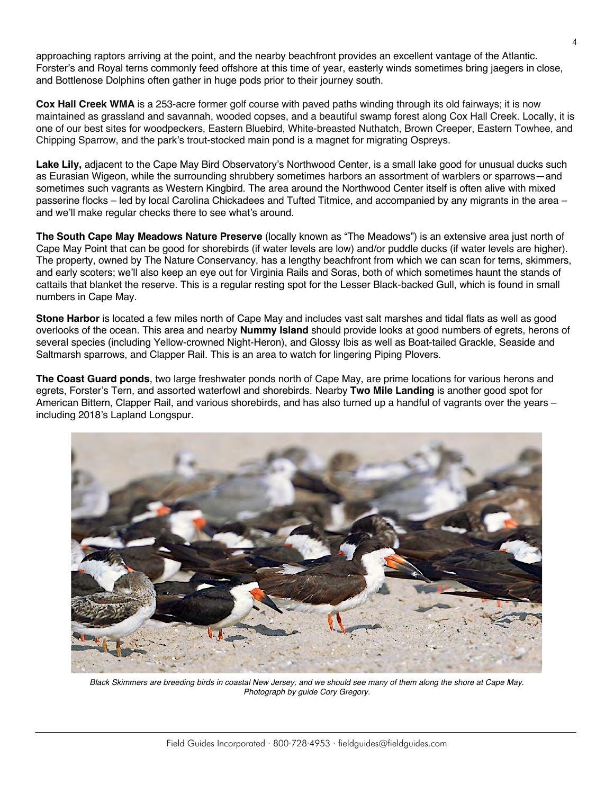approaching raptors arriving at the point, and the nearby beachfront provides an excellent vantage of the Atlantic. Forster's and Royal terns commonly feed offshore at this time of year, easterly winds sometimes bring jaegers in close, and Bottlenose Dolphins often gather in huge pods prior to their journey south.

**Cox Hall Creek WMA** is a 253-acre former golf course with paved paths winding through its old fairways; it is now maintained as grassland and savannah, wooded copses, and a beautiful swamp forest along Cox Hall Creek. Locally, it is one of our best sites for woodpeckers, Eastern Bluebird, White-breasted Nuthatch, Brown Creeper, Eastern Towhee, and Chipping Sparrow, and the park's trout-stocked main pond is a magnet for migrating Ospreys.

Lake Lily, adjacent to the Cape May Bird Observatory's Northwood Center, is a small lake good for unusual ducks such as Eurasian Wigeon, while the surrounding shrubbery sometimes harbors an assortment of warblers or sparrows—and sometimes such vagrants as Western Kingbird. The area around the Northwood Center itself is often alive with mixed passerine flocks – led by local Carolina Chickadees and Tufted Titmice, and accompanied by any migrants in the area – and we'll make regular checks there to see what's around.

**The South Cape May Meadows Nature Preserve** (locally known as "The Meadows") is an extensive area just north of Cape May Point that can be good for shorebirds (if water levels are low) and/or puddle ducks (if water levels are higher). The property, owned by The Nature Conservancy, has a lengthy beachfront from which we can scan for terns, skimmers, and early scoters; we'll also keep an eye out for Virginia Rails and Soras, both of which sometimes haunt the stands of cattails that blanket the reserve. This is a regular resting spot for the Lesser Black-backed Gull, which is found in small numbers in Cape May.

**Stone Harbor** is located a few miles north of Cape May and includes vast salt marshes and tidal flats as well as good overlooks of the ocean. This area and nearby **Nummy Island** should provide looks at good numbers of egrets, herons of several species (including Yellow-crowned Night-Heron), and Glossy Ibis as well as Boat-tailed Grackle, Seaside and Saltmarsh sparrows, and Clapper Rail. This is an area to watch for lingering Piping Plovers.

**The Coast Guard ponds**, two large freshwater ponds north of Cape May, are prime locations for various herons and egrets, Forster's Tern, and assorted waterfowl and shorebirds. Nearby **Two Mile Landing** is another good spot for American Bittern, Clapper Rail, and various shorebirds, and has also turned up a handful of vagrants over the years – including 2018's Lapland Longspur.



*Black Skimmers are breeding birds in coastal New Jersey, and we should see many of them along the shore at Cape May. Photograph by guide Cory Gregory.*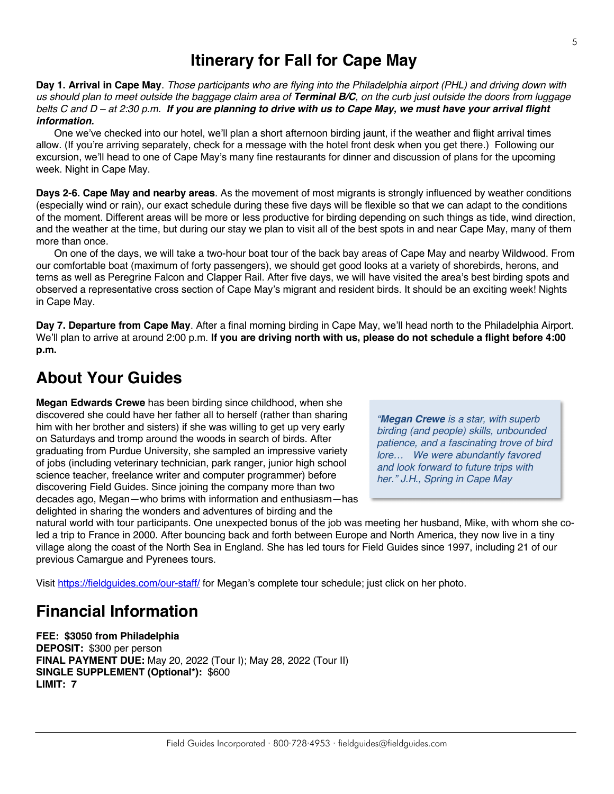### **Itinerary for Fall for Cape May**

**Day 1. Arrival in Cape May**. *Those participants who are flying into the Philadelphia airport (PHL) and driving down with us should plan to meet outside the baggage claim area of Terminal B/C, on the curb just outside the doors from luggage belts C and D – at 2:30 p.m. If you are planning to drive with us to Cape May, we must have your arrival flight information.*

One we've checked into our hotel, we'll plan a short afternoon birding jaunt, if the weather and flight arrival times allow. (If you're arriving separately, check for a message with the hotel front desk when you get there.) Following our excursion, we'll head to one of Cape May's many fine restaurants for dinner and discussion of plans for the upcoming week. Night in Cape May.

**Days 2-6. Cape May and nearby areas**. As the movement of most migrants is strongly influenced by weather conditions (especially wind or rain), our exact schedule during these five days will be flexible so that we can adapt to the conditions of the moment. Different areas will be more or less productive for birding depending on such things as tide, wind direction, and the weather at the time, but during our stay we plan to visit all of the best spots in and near Cape May, many of them more than once.

On one of the days, we will take a two-hour boat tour of the back bay areas of Cape May and nearby Wildwood. From our comfortable boat (maximum of forty passengers), we should get good looks at a variety of shorebirds, herons, and terns as well as Peregrine Falcon and Clapper Rail. After five days, we will have visited the area's best birding spots and observed a representative cross section of Cape May's migrant and resident birds. It should be an exciting week! Nights in Cape May.

**Day 7. Departure from Cape May**. After a final morning birding in Cape May, we'll head north to the Philadelphia Airport. We'll plan to arrive at around 2:00 p.m. **If you are driving north with us, please do not schedule a flight before 4:00 p.m.**

## **About Your Guides**

**Megan Edwards Crewe** has been birding since childhood, when she discovered she could have her father all to herself (rather than sharing him with her brother and sisters) if she was willing to get up very early on Saturdays and tromp around the woods in search of birds. After graduating from Purdue University, she sampled an impressive variety of jobs (including veterinary technician, park ranger, junior high school science teacher, freelance writer and computer programmer) before discovering Field Guides. Since joining the company more than two decades ago, Megan—who brims with information and enthusiasm—has delighted in sharing the wonders and adventures of birding and the

*"Megan Crewe is a star, with superb birding (and people) skills, unbounded patience, and a fascinating trove of bird lore… We were abundantly favored and look forward to future trips with her." J.H., Spring in Cape May*

natural world with tour participants. One unexpected bonus of the job was meeting her husband, Mike, with whom she coled a trip to France in 2000. After bouncing back and forth between Europe and North America, they now live in a tiny village along the coast of the North Sea in England. She has led tours for Field Guides since 1997, including 21 of our previous Camargue and Pyrenees tours.

Visit https://fieldguides.com/our-staff/ for Megan's complete tour schedule; just click on her photo.

#### **Financial Information**

**FEE: \$3050 from Philadelphia DEPOSIT:** \$300 per person **FINAL PAYMENT DUE:** May 20, 2022 (Tour I); May 28, 2022 (Tour II) **SINGLE SUPPLEMENT (Optional\*):** \$600 **LIMIT: 7**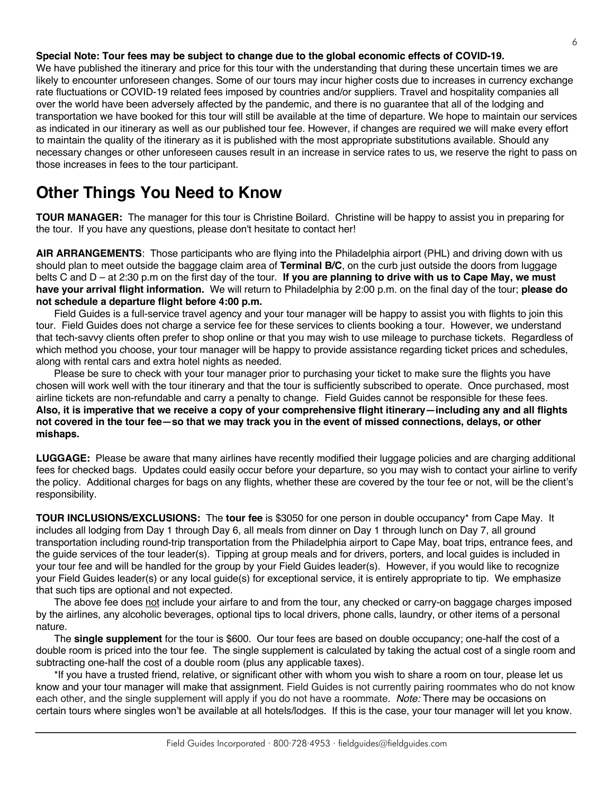#### **Special Note: Tour fees may be subject to change due to the global economic effects of COVID-19.**

We have published the itinerary and price for this tour with the understanding that during these uncertain times we are likely to encounter unforeseen changes. Some of our tours may incur higher costs due to increases in currency exchange rate fluctuations or COVID-19 related fees imposed by countries and/or suppliers. Travel and hospitality companies all over the world have been adversely affected by the pandemic, and there is no guarantee that all of the lodging and transportation we have booked for this tour will still be available at the time of departure. We hope to maintain our services as indicated in our itinerary as well as our published tour fee. However, if changes are required we will make every effort to maintain the quality of the itinerary as it is published with the most appropriate substitutions available. Should any necessary changes or other unforeseen causes result in an increase in service rates to us, we reserve the right to pass on those increases in fees to the tour participant.

### **Other Things You Need to Know**

**TOUR MANAGER:** The manager for this tour is Christine Boilard. Christine will be happy to assist you in preparing for the tour. If you have any questions, please don't hesitate to contact her!

**AIR ARRANGEMENTS**: Those participants who are flying into the Philadelphia airport (PHL) and driving down with us should plan to meet outside the baggage claim area of **Terminal B/C**, on the curb just outside the doors from luggage belts C and D – at 2:30 p.m on the first day of the tour. **If you are planning to drive with us to Cape May, we must have your arrival flight information.** We will return to Philadelphia by 2:00 p.m. on the final day of the tour; **please do not schedule a departure flight before 4:00 p.m.**

Field Guides is a full-service travel agency and your tour manager will be happy to assist you with flights to join this tour. Field Guides does not charge a service fee for these services to clients booking a tour. However, we understand that tech-savvy clients often prefer to shop online or that you may wish to use mileage to purchase tickets. Regardless of which method you choose, your tour manager will be happy to provide assistance regarding ticket prices and schedules, along with rental cars and extra hotel nights as needed.

Please be sure to check with your tour manager prior to purchasing your ticket to make sure the flights you have chosen will work well with the tour itinerary and that the tour is sufficiently subscribed to operate. Once purchased, most airline tickets are non-refundable and carry a penalty to change. Field Guides cannot be responsible for these fees. **Also, it is imperative that we receive a copy of your comprehensive flight itinerary—including any and all flights not covered in the tour fee—so that we may track you in the event of missed connections, delays, or other mishaps.**

**LUGGAGE:** Please be aware that many airlines have recently modified their luggage policies and are charging additional fees for checked bags. Updates could easily occur before your departure, so you may wish to contact your airline to verify the policy. Additional charges for bags on any flights, whether these are covered by the tour fee or not, will be the client's responsibility.

**TOUR INCLUSIONS/EXCLUSIONS:** The **tour fee** is \$3050 for one person in double occupancy\* from Cape May. It includes all lodging from Day 1 through Day 6, all meals from dinner on Day 1 through lunch on Day 7, all ground transportation including round-trip transportation from the Philadelphia airport to Cape May, boat trips, entrance fees, and the guide services of the tour leader(s). Tipping at group meals and for drivers, porters, and local guides is included in your tour fee and will be handled for the group by your Field Guides leader(s). However, if you would like to recognize your Field Guides leader(s) or any local guide(s) for exceptional service, it is entirely appropriate to tip. We emphasize that such tips are optional and not expected.

The above fee does not include your airfare to and from the tour, any checked or carry-on baggage charges imposed by the airlines, any alcoholic beverages, optional tips to local drivers, phone calls, laundry, or other items of a personal nature.

The **single supplement** for the tour is \$600. Our tour fees are based on double occupancy; one-half the cost of a double room is priced into the tour fee. The single supplement is calculated by taking the actual cost of a single room and subtracting one-half the cost of a double room (plus any applicable taxes).

\*If you have a trusted friend, relative, or significant other with whom you wish to share a room on tour, please let us know and your tour manager will make that assignment. Field Guides is not currently pairing roommates who do not know each other, and the single supplement will apply if you do not have a roommate. *Note:* There may be occasions on certain tours where singles won't be available at all hotels/lodges. If this is the case, your tour manager will let you know.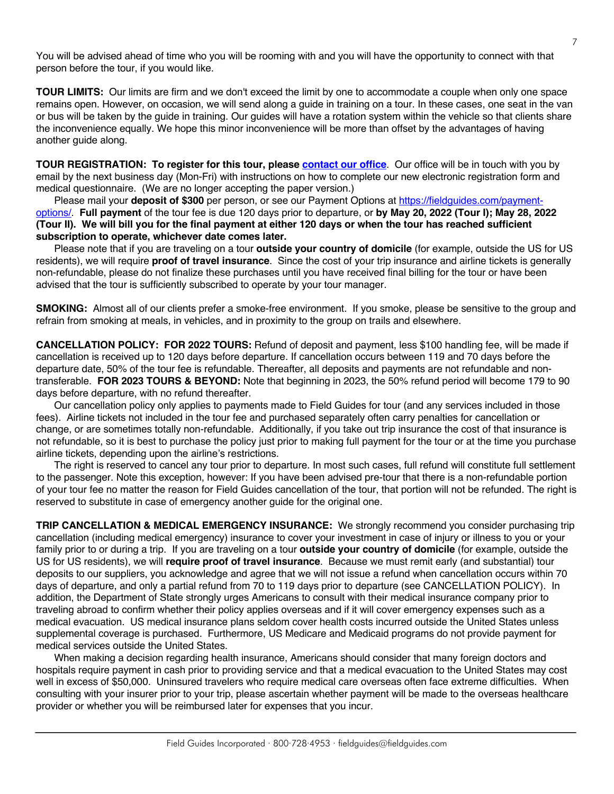You will be advised ahead of time who you will be rooming with and you will have the opportunity to connect with that person before the tour, if you would like.

**TOUR LIMITS:** Our limits are firm and we don't exceed the limit by one to accommodate a couple when only one space remains open. However, on occasion, we will send along a guide in training on a tour. In these cases, one seat in the van or bus will be taken by the guide in training. Our guides will have a rotation system within the vehicle so that clients share the inconvenience equally. We hope this minor inconvenience will be more than offset by the advantages of having another guide along.

**TOUR REGISTRATION: To register for this tour, please [contact our office](https://fieldguides.com/contact-us/)**. Our office will be in touch with you by email by the next business day (Mon-Fri) with instructions on how to complete our new electronic registration form and medical questionnaire. (We are no longer accepting the paper version.)

Please mail your **deposit of \$300** per person, or see our Payment Options at https://fieldquides.com/payment[options/.](https://fieldguides.com/payment-options/) **Full payment** of the tour fee is due 120 days prior to departure, or **by May 20, 2022 (Tour I); May 28, 2022 (Tour II). We will bill you for the final payment at either 120 days or when the tour has reached sufficient subscription to operate, whichever date comes later.**

Please note that if you are traveling on a tour **outside your country of domicile** (for example, outside the US for US residents), we will require **proof of travel insurance**. Since the cost of your trip insurance and airline tickets is generally non-refundable, please do not finalize these purchases until you have received final billing for the tour or have been advised that the tour is sufficiently subscribed to operate by your tour manager.

**SMOKING:** Almost all of our clients prefer a smoke-free environment. If you smoke, please be sensitive to the group and refrain from smoking at meals, in vehicles, and in proximity to the group on trails and elsewhere.

**CANCELLATION POLICY: FOR 2022 TOURS:** Refund of deposit and payment, less \$100 handling fee, will be made if cancellation is received up to 120 days before departure. If cancellation occurs between 119 and 70 days before the departure date, 50% of the tour fee is refundable. Thereafter, all deposits and payments are not refundable and nontransferable. **FOR 2023 TOURS & BEYOND:** Note that beginning in 2023, the 50% refund period will become 179 to 90 days before departure, with no refund thereafter.

Our cancellation policy only applies to payments made to Field Guides for tour (and any services included in those fees). Airline tickets not included in the tour fee and purchased separately often carry penalties for cancellation or change, or are sometimes totally non-refundable. Additionally, if you take out trip insurance the cost of that insurance is not refundable, so it is best to purchase the policy just prior to making full payment for the tour or at the time you purchase airline tickets, depending upon the airline's restrictions.

The right is reserved to cancel any tour prior to departure. In most such cases, full refund will constitute full settlement to the passenger. Note this exception, however: If you have been advised pre-tour that there is a non-refundable portion of your tour fee no matter the reason for Field Guides cancellation of the tour, that portion will not be refunded. The right is reserved to substitute in case of emergency another guide for the original one.

**TRIP CANCELLATION & MEDICAL EMERGENCY INSURANCE:** We strongly recommend you consider purchasing trip cancellation (including medical emergency) insurance to cover your investment in case of injury or illness to you or your family prior to or during a trip. If you are traveling on a tour **outside your country of domicile** (for example, outside the US for US residents), we will **require proof of travel insurance**. Because we must remit early (and substantial) tour deposits to our suppliers, you acknowledge and agree that we will not issue a refund when cancellation occurs within 70 days of departure, and only a partial refund from 70 to 119 days prior to departure (see CANCELLATION POLICY). In addition, the Department of State strongly urges Americans to consult with their medical insurance company prior to traveling abroad to confirm whether their policy applies overseas and if it will cover emergency expenses such as a medical evacuation. US medical insurance plans seldom cover health costs incurred outside the United States unless supplemental coverage is purchased. Furthermore, US Medicare and Medicaid programs do not provide payment for medical services outside the United States.

When making a decision regarding health insurance, Americans should consider that many foreign doctors and hospitals require payment in cash prior to providing service and that a medical evacuation to the United States may cost well in excess of \$50,000. Uninsured travelers who require medical care overseas often face extreme difficulties. When consulting with your insurer prior to your trip, please ascertain whether payment will be made to the overseas healthcare provider or whether you will be reimbursed later for expenses that you incur.